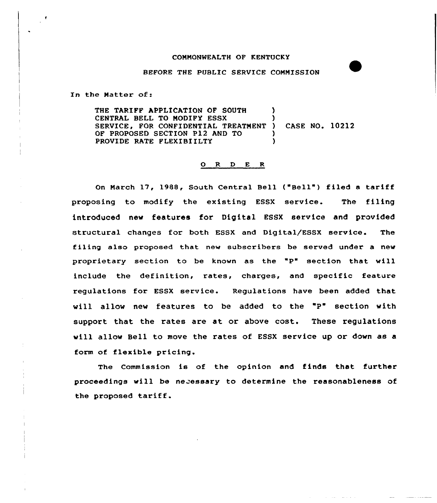## COMMONWEALTH OF KENTUCKY

## BEFORE THE PUBLIC SERVICE COMMISSION

In the Natter of:

THE TARIFF APPLICATION OF SOUTH ) CENTRAL BELL TO MODIFY ESSX ) SERVICE, FOR CONFIDENTIAL TREATMENT ) CASE NO. 10212 OF PROPOSED SECTION P12 AND TO  $\overrightarrow{y}$ PROVIDE RATE FLEXIBIILTY

## 0 R <sup>D</sup> <sup>E</sup> <sup>R</sup>

On March 17, 1988, South Central Bell ("Bell") filed a tariff proposing to modify the existing ESSX service. The filing introduced new features for Digital ESSX service and provided structural changes for both ESSX and Digital/ESSX service. The filing also proposed that new subscribers be served under a new proprietary section to be known as the "P" section that will include the definition, rates, charges, and specific feature regulations for ESSX service. Regulations have been added that will allow new features to be added to the "P" section with support that the rates are at or above cost. These regulations will allow Bell to move the rates of ESSX service up or down as a form of flexible pricing.

The Commission is of the opinion and finds that further proceedings will be necessary to determine the reasonableness of the proposed tariff.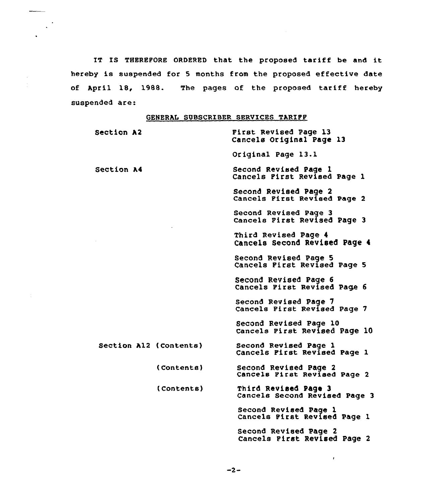IT IS THEREFORE ORDERED that the proposed tariff be and it hereby is suspended for <sup>5</sup> months from the proposed effective date of April 18, 1988. The pages of the proposed tariff hereby suspended are:

 $\bar{\nu}$ 

 $\frac{1}{2}$  .

## GENERAL SUBSCRIBER SERVICES TARIFF

| Section A2             |            | First Revised Page 13<br>Cancels Original Page 13       |
|------------------------|------------|---------------------------------------------------------|
|                        |            | Original Page 13.1                                      |
| Section A4             |            | Second Revised Page 1<br>Cancels First Revised Page 1   |
|                        |            | Second Revised Page 2<br>Cancels First Revised Page 2   |
|                        |            | Second Revised Page 3<br>Cancels First Revised Page 3   |
|                        |            | Third Revised Page 4<br>Cancels Second Revised Page 4   |
|                        |            | Second Revised Page 5<br>Cancels Pirst Revised Page 5   |
|                        |            | Second Revised Page 6<br>Cancels First Revised Page 6   |
|                        |            | Second Revised Page 7<br>Cancels First Revised Page 7   |
|                        |            | Second Revised Page 10<br>Cancels Pirst Revised Page 10 |
| Section Al2 (Contents) |            | Second Revised Page 1<br>Cancels First Revised Page 1   |
|                        | (Contents) | Second Revised Page 2<br>Cancels First Revised Page 2   |
|                        | (Contents) | Third Revised Page 3<br>Cancels Second Revised Page 3   |
|                        |            | Second Revised Page 1<br>Cancels Pirst Revised Page 1   |
|                        |            | Second Revised Page 2<br>Cancels Pirst Revised Page 2   |

 $-2-$ 

 $\pmb{r}$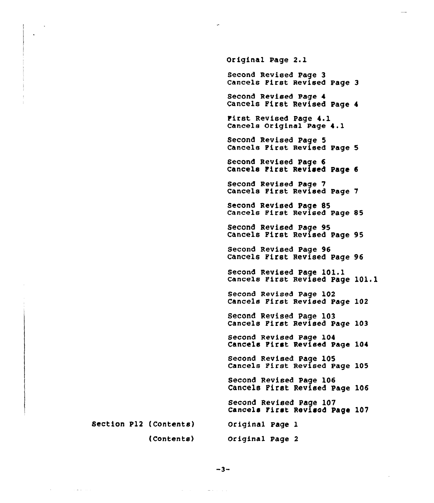Section P12 (Contents) (Contents) Original Page 2.1 Second Revised Page 3 Cancels First Revised Page 3 Second Revised Page 4 Cancels First Revised Page <sup>4</sup> First Revised Page 4.1 Cancels Original Page 4.l Second Revised Page 5 Cancels First Revised Page 5 Second Revised Page 6 Cancels First Revised Page <sup>6</sup> Second Revised Page 7 Cancels First Revised Page <sup>7</sup> Second Revised Page 85 Cancels First Revised Page 85 Second Revised Page 95 Cancels First Revised Page 95 Second Revised Page 96 Cancels First Revised Page 96 Second Revised Page 101.1 Cancels First Revised Page 101.1 Second Revised Page 102 Cancels First Revised Page 102 Second Revised Page 103 Cancels First Revised Page 103 Second Revised Page 104 Cancels First Revised Page 104 Second Revised Page 105 Cancels First Revised Page 105 Second Revised Page 106 Cancels First Revised Page 106 Second Revised Page 107 Cancels First Revised page 107 Original page 1 Original Page 2

 $-3-$ 

 $\omega$  and  $\omega$  and  $\omega$ 

 $\sim$  10 km s  $^{-1}$  10  $^{-1}$ 

 $\sim$